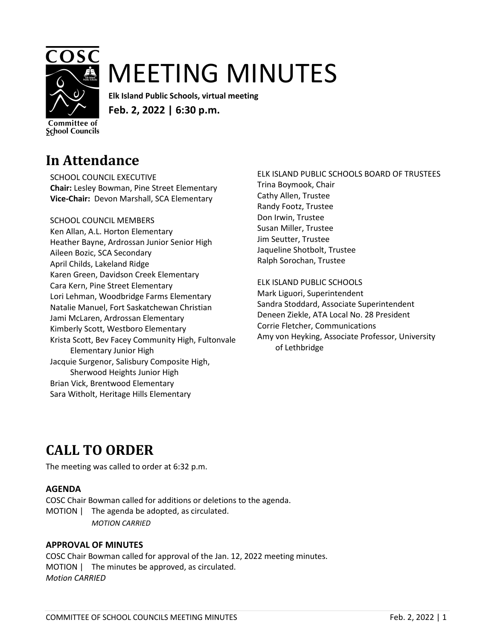

# MEETING MINUTES

**Elk Island Public Schools, virtual meeting Feb. 2, 2022 | 6:30 p.m.**

Committee of **School Councils** 

# **In Attendance**

SCHOOL COUNCIL EXECUTIVE **Chair:** Lesley Bowman, Pine Street Elementary **Vice-Chair:** Devon Marshall, SCA Elementary

#### SCHOOL COUNCIL MEMBERS

Ken Allan, A.L. Horton Elementary Heather Bayne, Ardrossan Junior Senior High Aileen Bozic, SCA Secondary April Childs, Lakeland Ridge Karen Green, Davidson Creek Elementary Cara Kern, Pine Street Elementary Lori Lehman, Woodbridge Farms Elementary Natalie Manuel, Fort Saskatchewan Christian Jami McLaren, Ardrossan Elementary Kimberly Scott, Westboro Elementary Krista Scott, Bev Facey Community High, Fultonvale Elementary Junior High Jacquie Surgenor, Salisbury Composite High, Sherwood Heights Junior High Brian Vick, Brentwood Elementary Sara Witholt, Heritage Hills Elementary

ELK ISLAND PUBLIC SCHOOLS BOARD OF TRUSTEES Trina Boymook, Chair Cathy Allen, Trustee Randy Footz, Trustee Don Irwin, Trustee Susan Miller, Trustee Jim Seutter, Trustee Jaqueline Shotbolt, Trustee Ralph Sorochan, Trustee

#### ELK ISLAND PUBLIC SCHOOLS

Mark Liguori, Superintendent Sandra Stoddard, Associate Superintendent Deneen Ziekle, ATA Local No. 28 President Corrie Fletcher, Communications Amy von Heyking, Associate Professor, University of Lethbridge

# **CALL TO ORDER**

The meeting was called to order at 6:32 p.m.

#### **AGENDA**

COSC Chair Bowman called for additions or deletions to the agenda. MOTION | The agenda be adopted, as circulated. *MOTION CARRIED*

#### **APPROVAL OF MINUTES**

COSC Chair Bowman called for approval of the Jan. 12, 2022 meeting minutes. MOTION | The minutes be approved, as circulated. *Motion CARRIED*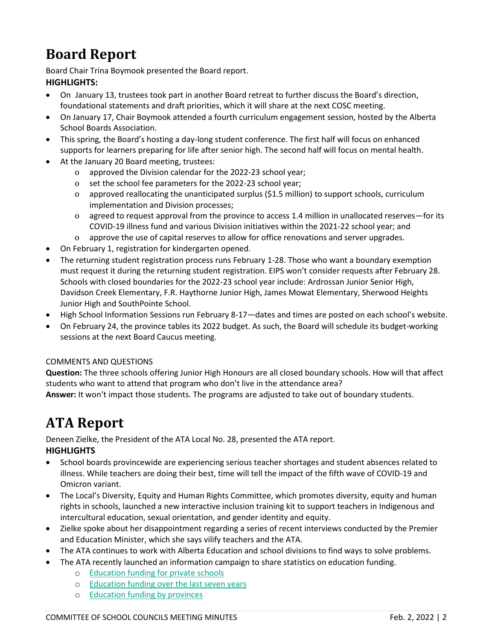# **Board Report**

Board Chair Trina Boymook presented the Board report. **HIGHLIGHTS:**

- On January 13, trustees took part in another Board retreat to further discuss the Board's direction, foundational statements and draft priorities, which it will share at the next COSC meeting.
- On January 17, Chair Boymook attended a fourth curriculum engagement session, hosted by the Alberta School Boards Association.
- This spring, the Board's hosting a day-long student conference. The first half will focus on enhanced supports for learners preparing for life after senior high. The second half will focus on mental health.
- At the January 20 Board meeting, trustees:
	- o approved the Division calendar for the 2022-23 school year;
	- o set the school fee parameters for the 2022-23 school year;
	- o approved reallocating the unanticipated surplus (\$1.5 million) to support schools, curriculum implementation and Division processes;
	- o agreed to request approval from the province to access 1.4 million in unallocated reserves—for its COVID-19 illness fund and various Division initiatives within the 2021-22 school year; and
	- o approve the use of capital reserves to allow for office renovations and server upgrades.
- On February 1, registration for kindergarten opened.
- The returning student registration process runs February 1-28. Those who want a boundary exemption must request it during the returning student registration. EIPS won't consider requests after February 28. Schools with closed boundaries for the 2022-23 school year include: Ardrossan Junior Senior High, Davidson Creek Elementary, F.R. Haythorne Junior High, James Mowat Elementary, Sherwood Heights Junior High and SouthPointe School.
- High School Information Sessions run February 8-17—dates and times are posted on each school's website.
- On February 24, the province tables its 2022 budget. As such, the Board will schedule its budget-working sessions at the next Board Caucus meeting.

#### COMMENTS AND QUESTIONS

**Question:** The three schools offering Junior High Honours are all closed boundary schools. How will that affect students who want to attend that program who don't live in the attendance area?

**Answer:** It won't impact those students. The programs are adjusted to take out of boundary students.

### **ATA Report**

Deneen Zielke, the President of the ATA Local No. 28, presented the ATA report. **HIGHLIGHTS**

- School boards provincewide are experiencing serious teacher shortages and student absences related to illness. While teachers are doing their best, time will tell the impact of the fifth wave of COVID-19 and Omicron variant.
- The Local's Diversity, Equity and Human Rights Committee, which promotes diversity, equity and human rights in schools, launched a new interactive inclusion training kit to support teachers in Indigenous and intercultural education, sexual orientation, and gender identity and equity.
- Zielke spoke about her disappointment regarding a series of recent interviews conducted by the Premier and Education Minister, which she says vilify teachers and the ATA.
- The ATA continues to work with Alberta Education and school divisions to find ways to solve problems.
- The ATA recently launched an information campaign to share statistics on education funding.
	- o [Education funding for private schools](https://www.eips.ca/download/380778)
	- o [Education funding over the last seven years](https://www.eips.ca/download/380779)
	- o [Education funding by provinces](https://www.eips.ca/download/380777)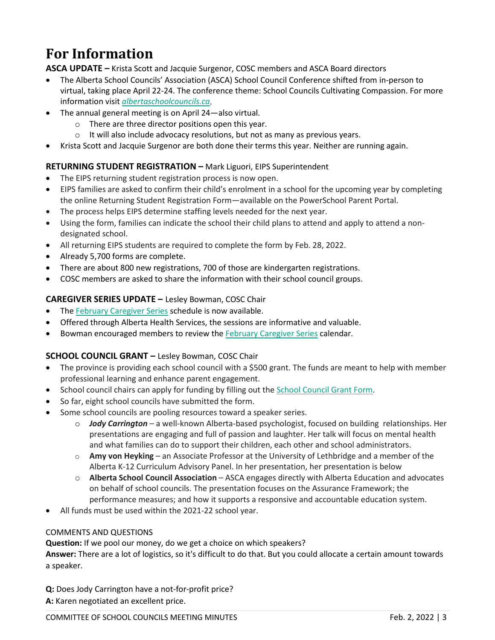# **For Information**

**ASCA UPDATE –** Krista Scott and Jacquie Surgenor, COSC members and ASCA Board directors

- The Alberta School Councils' Association (ASCA) School Council Conference shifted from in-person to virtual, taking place April 22-24. The conference theme: School Councils Cultivating Compassion. For more information visit *[albertaschoolcouncils.ca](https://www.albertaschoolcouncils.ca/)*.
- The annual general meeting is on April 24—also virtual.
	- o There are three director positions open this year.
	- o It will also include advocacy resolutions, but not as many as previous years.
- Krista Scott and Jacquie Surgenor are both done their terms this year. Neither are running again.

#### **RETURNING STUDENT REGISTRATION –** Mark Liguori, EIPS Superintendent

- The EIPS returning student registration process is now open.
- EIPS families are asked to confirm their child's enrolment in a school for the upcoming year by completing the online Returning Student Registration Form—available on the PowerSchool Parent Portal.
- The process helps EIPS determine staffing levels needed for the next year.
- Using the form, families can indicate the school their child plans to attend and apply to attend a nondesignated school.
- All returning EIPS students are required to complete the form by Feb. 28, 2022.
- Already 5,700 forms are complete.
- There are about 800 new registrations, 700 of those are kindergarten registrations.
- COSC members are asked to share the information with their school council groups.

#### **CAREGIVER SERIES UPDATE –** Lesley Bowman, COSC Chair

- The [February Caregiver Series](https://www.cyfcaregivereducation.ca/home) schedule is now available.
- Offered through Alberta Health Services, the sessions are informative and valuable.
- Bowman encouraged members to review the [February Caregiver Series](https://www.cyfcaregivereducation.ca/home) calendar.

#### **SCHOOL COUNCIL GRANT –** Lesley Bowman, COSC Chair

- The province is providing each school council with a \$500 grant. The funds are meant to help with member professional learning and enhance parent engagement.
- School council chairs can apply for funding by filling out the [School Council Grant Form.](https://docs.google.com/forms/d/1BSmNdxLmoaVjDdfVQUc1MdiRTYpdgG8Ai4i0WyXfvnE/edit?usp=sharing_eil_m&ts=61d764ad)
- So far, eight school councils have submitted the form.
- Some school councils are pooling resources toward a speaker series.
	- o *Jody Carrington –* a well-known Alberta-based psychologist, focused on building relationships. Her presentations are engaging and full of passion and laughter. Her talk will focus on mental health and what families can do to support their children, each other and school administrators.
	- o **Amy von Heyking** an Associate Professor at the University of Lethbridge and a member of the Alberta K-12 Curriculum Advisory Panel. In her presentation, her presentation is below
	- o **Alberta School Council Association** ASCA engages directly with Alberta Education and advocates on behalf of school councils. The presentation focuses on the Assurance Framework; the performance measures; and how it supports a responsive and accountable education system.
- All funds must be used within the 2021-22 school year.

#### COMMENTS AND QUESTIONS

**Question:** If we pool our money, do we get a choice on which speakers?

**Answer:** There are a lot of logistics, so it's difficult to do that. But you could allocate a certain amount towards a speaker.

**Q:** Does Jody Carrington have a not-for-profit price? **A:** Karen negotiated an excellent price.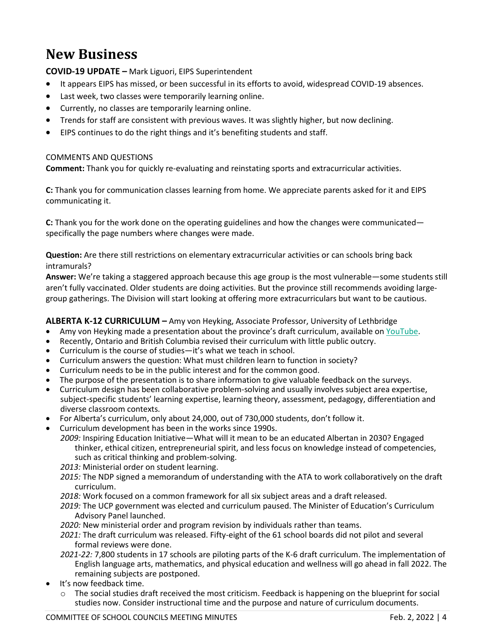# **New Business**

**COVID-19 UPDATE –** Mark Liguori, EIPS Superintendent

- It appears EIPS has missed, or been successful in its efforts to avoid, widespread COVID-19 absences.
- Last week, two classes were temporarily learning online.
- Currently, no classes are temporarily learning online.
- Trends for staff are consistent with previous waves. It was slightly higher, but now declining.
- EIPS continues to do the right things and it's benefiting students and staff.

#### COMMENTS AND QUESTIONS

**Comment:** Thank you for quickly re-evaluating and reinstating sports and extracurricular activities.

**C:** Thank you for communication classes learning from home. We appreciate parents asked for it and EIPS communicating it.

**C:** Thank you for the work done on the operating guidelines and how the changes were communicated specifically the page numbers where changes were made.

**Question:** Are there still restrictions on elementary extracurricular activities or can schools bring back intramurals?

**Answer:** We're taking a staggered approach because this age group is the most vulnerable—some students still aren't fully vaccinated. Older students are doing activities. But the province still recommends avoiding largegroup gatherings. The Division will start looking at offering more extracurriculars but want to be cautious.

#### **ALBERTA K-12 CURRICULUM –** Amy von Heyking, Associate Professor, University of Lethbridge

- Amy von Heyking made a presentation about the province's draft curriculum, available on [YouTube.](https://youtu.be/aYZ852DaA7Y)
- Recently, Ontario and British Columbia revised their curriculum with little public outcry.
- Curriculum is the course of studies—it's what we teach in school.
- Curriculum answers the question: What must children learn to function in society?
- Curriculum needs to be in the public interest and for the common good.
- The purpose of the presentation is to share information to give valuable feedback on the surveys.
- Curriculum design has been collaborative problem-solving and usually involves subject area expertise, subject-specific students' learning expertise, learning theory, assessment, pedagogy, differentiation and diverse classroom contexts.
- For Alberta's curriculum, only about 24,000, out of 730,000 students, don't follow it.
- Curriculum development has been in the works since 1990s.

*2009:* Inspiring Education Initiative—What will it mean to be an educated Albertan in 2030? Engaged thinker, ethical citizen, entrepreneurial spirit, and less focus on knowledge instead of competencies, such as critical thinking and problem-solving.

*2013:* Ministerial order on student learning.

*2015:* The NDP signed a memorandum of understanding with the ATA to work collaboratively on the draft curriculum.

- *2018:* Work focused on a common framework for all six subject areas and a draft released.
- *2019:* The UCP government was elected and curriculum paused. The Minister of Education's Curriculum Advisory Panel launched.

*2020:* New ministerial order and program revision by individuals rather than teams.

*2021:* The draft curriculum was released. Fifty-eight of the 61 school boards did not pilot and several formal reviews were done.

- *2021-22:* 7,800 students in 17 schools are piloting parts of the K-6 draft curriculum. The implementation of English language arts, mathematics, and physical education and wellness will go ahead in fall 2022. The remaining subjects are postponed.
- It's now feedback time.
	- o The social studies draft received the most criticism. Feedback is happening on the blueprint for social studies now. Consider instructional time and the purpose and nature of curriculum documents.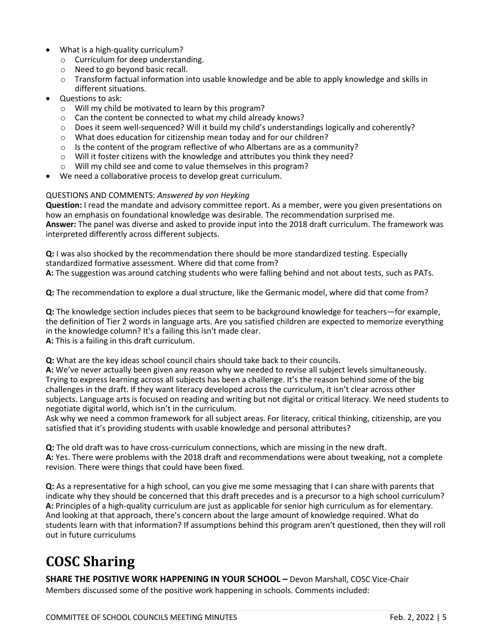- What is a high-quality curriculum?
	- o Curriculum for deep understanding.
	- o Need to go beyond basic recall.
	- o Transform factual information into usable knowledge and be able to apply knowledge and skills in different situations.
- Questions to ask:
	- o Will my child be motivated to learn by this program?
	- o Can the content be connected to what my child already knows?
	- o Does it seem well-sequenced? Will it build my child's understandings logically and coherently?
	- o What does education for citizenship mean today and for our children?
	- o Is the content of the program reflective of who Albertans are as a community?
	- o Will it foster citizens with the knowledge and attributes you think they need?
	- o Will my child see and come to value themselves in this program?
- We need a collaborative process to develop great curriculum.

#### QUESTIONS AND COMMENTS: *Answered by von Heyking*

**Question:** I read the mandate and advisory committee report. As a member, were you given presentations on how an emphasis on foundational knowledge was desirable. The recommendation surprised me. **Answer:** The panel was diverse and asked to provide input into the 2018 draft curriculum. The framework was interpreted differently across different subjects.

**Q:** I was also shocked by the recommendation there should be more standardized testing. Especially standardized formative assessment. Where did that come from?

**A:** The suggestion was around catching students who were falling behind and not about tests, such as PATs.

**Q:** The recommendation to explore a dual structure, like the Germanic model, where did that come from?

**Q:** The knowledge section includes pieces that seem to be background knowledge for teachers—for example, the definition of Tier 2 words in language arts. Are you satisfied children are expected to memorize everything in the knowledge column? It's a failing this isn't made clear.

**A:** This is a failing in this draft curriculum.

**Q:** What are the key ideas school council chairs should take back to their councils.

**A:** We've never actually been given any reason why we needed to revise all subject levels simultaneously. Trying to express learning across all subjects has been a challenge. It's the reason behind some of the big challenges in the draft. If they want literacy developed across the curriculum, it isn't clear across other subjects. Language arts is focused on reading and writing but not digital or critical literacy. We need students to negotiate digital world, which isn't in the curriculum.

Ask why we need a common framework for all subject areas. For literacy, critical thinking, citizenship, are you satisfied that it's providing students with usable knowledge and personal attributes?

**Q:** The old draft was to have cross-curriculum connections, which are missing in the new draft. **A:** Yes. There were problems with the 2018 draft and recommendations were about tweaking, not a complete revision. There were things that could have been fixed.

**Q:** As a representative for a high school, can you give me some messaging that I can share with parents that indicate why they should be concerned that this draft precedes and is a precursor to a high school curriculum? **A:** Principles of a high-quality curriculum are just as applicable for senior high curriculum as for elementary. And looking at that approach, there's concern about the large amount of knowledge required. What do students learn with that information? If assumptions behind this program aren't questioned, then they will roll out in future curriculums

# **COSC Sharing**

**SHARE THE POSITIVE WORK HAPPENING IN YOUR SCHOOL –** Devon Marshall, COSC Vice-Chair Members discussed some of the positive work happening in schools. Comments included: